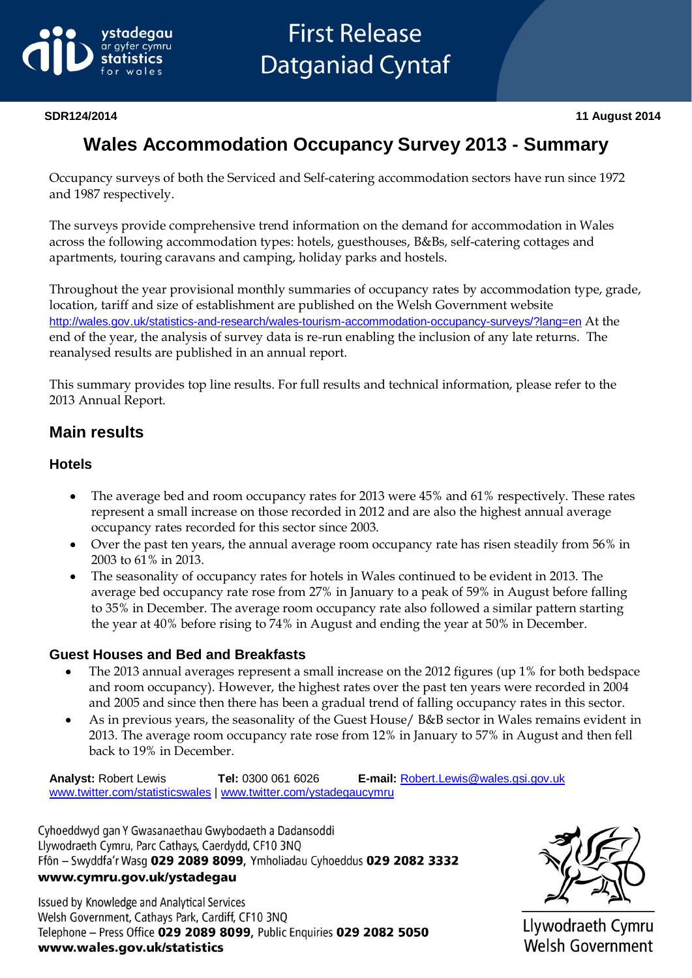

# **Wales Accommodation Occupancy Survey 2013 - Summary**

Occupancy surveys of both the Serviced and Self-catering accommodation sectors have run since 1972 and 1987 respectively.

The surveys provide comprehensive trend information on the demand for accommodation in Wales across the following accommodation types: hotels, guesthouses, B&Bs, self-catering cottages and apartments, touring caravans and camping, holiday parks and hostels.

Throughout the year provisional monthly summaries of occupancy rates by accommodation type, grade, location, tariff and size of establishment are published on the Welsh Government website <http://wales.gov.uk/statistics-and-research/wales-tourism-accommodation-occupancy-surveys/?lang=en> At the end of the year, the analysis of survey data is re-run enabling the inclusion of any late returns. The reanalysed results are published in an annual report.

This summary provides top line results. For full results and technical information, please refer to the 2013 Annual Report.

## **Main results**

#### **Hotels**

- The average bed and room occupancy rates for 2013 were 45% and 61% respectively. These rates  $\bullet$ represent a small increase on those recorded in 2012 and are also the highest annual average occupancy rates recorded for this sector since 2003.
- Over the past ten years, the annual average room occupancy rate has risen steadily from 56% in  $\bullet$ 2003 to 61% in 2013.
- $\bullet$ The seasonality of occupancy rates for hotels in Wales continued to be evident in 2013. The average bed occupancy rate rose from 27% in January to a peak of 59% in August before falling to 35% in December. The average room occupancy rate also followed a similar pattern starting the year at 40% before rising to 74% in August and ending the year at 50% in December.

#### **Guest Houses and Bed and Breakfasts**

- The 2013 annual averages represent a small increase on the 2012 figures (up 1% for both bedspace and room occupancy). However, the highest rates over the past ten years were recorded in 2004 and 2005 and since then there has been a gradual trend of falling occupancy rates in this sector.
- As in previous years, the seasonality of the Guest House/ B&B sector in Wales remains evident in  $\bullet$ 2013. The average room occupancy rate rose from 12% in January to 57% in August and then fell back to 19% in December.

**Analyst:** Robert Lewis **Tel:** 0300 061 6026 **E-mail:** [Robert.Lewis@wales.gsi.gov.uk](mailto:Robert.Lewis@wales.gsi.gov.uk) [www.twitter.com/statisticswales](http://www.twitter.com/statisticswales) | [www.twitter.com/ystadegaucymru](http://www.twitter.com/ystadegaucymru)

Cyhoeddwyd gan Y Gwasanaethau Gwybodaeth a Dadansoddi Llywodraeth Cymru, Parc Cathays, Caerdydd, CF10 3NQ Ffôn - Swyddfa'r Wasg 029 2089 8099, Ymholiadau Cyhoeddus 029 2082 3332 www.cymru.gov.uk/ystadegau

Issued by Knowledge and Analytical Services Welsh Government, Cathays Park, Cardiff, CF10 3NQ Telephone - Press Office 029 2089 8099, Public Enquiries 029 2082 5050 www.wales.gov.uk/statistics



Llywodraeth Cymru **Welsh Government**